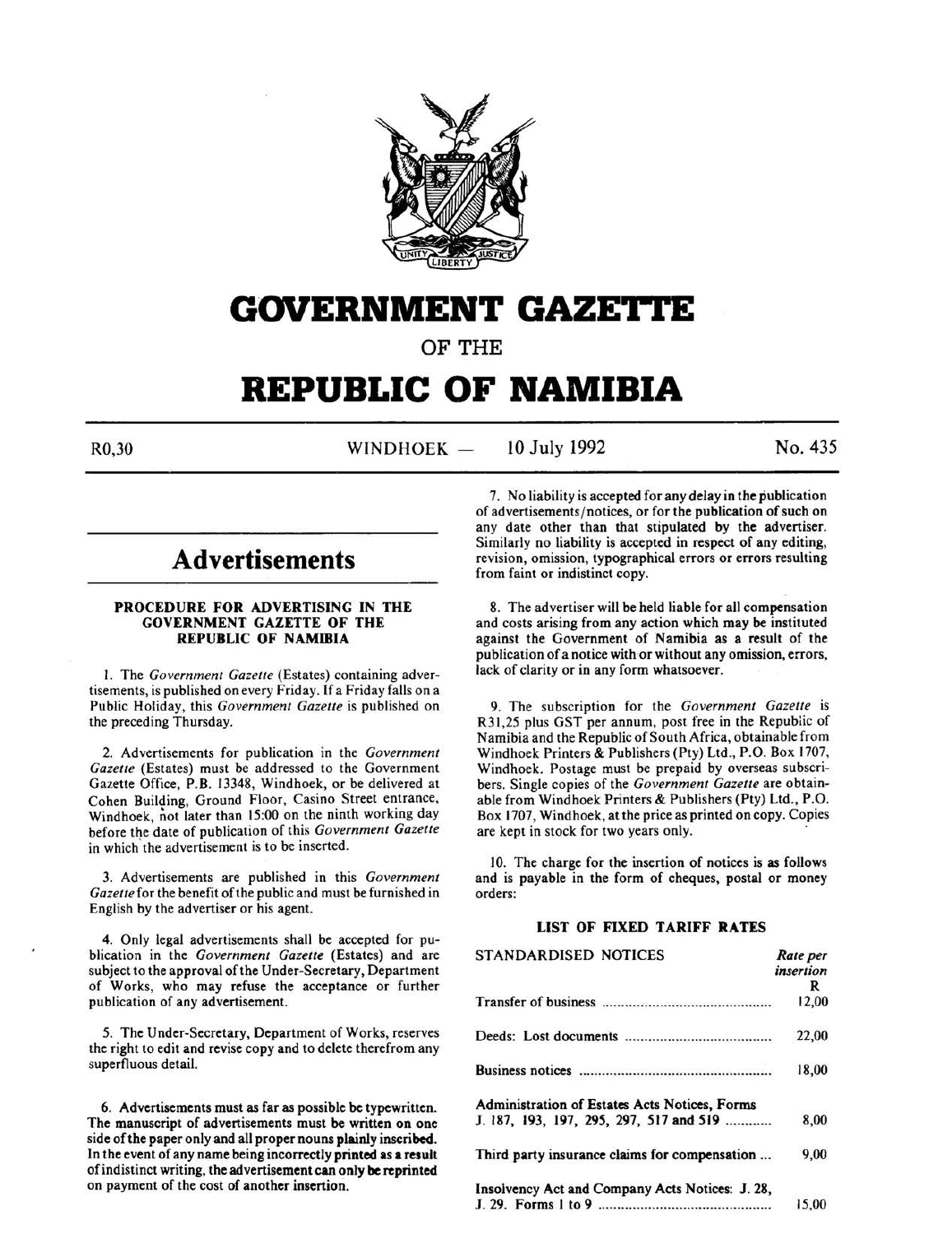

# **GOVERNMENT GAZE'I\*I'E**

OF THE

# **REPUBLIC OF NAMIBIA**

R0,30 WINDHOEK — 10 July 1992 No. 435

# **Advertisements**

# PROCEDURE FOR ADVERTISING IN THE GOVERNMENT GAZETTE OF THE REPUBLIC OF NAMIBIA

I. The *Government Gazelle* (Estates) containing advertisements, is published on every Friday. If a Friday falls on a Public Holiday, this *Government Gazette* is published on the preceding Thursday.

2. Advertisements for publication in the *Government Gazelle* (Estates) must be addressed to the Government Gazette Office, P.B. 13348, Windhoek, or be delivered at Cohen Building, Ground Floor, Casino Street entrance, Windhoek, not later than 15:00 on the ninth working day before the date of publication of this *Government Gazelle*  in which the advertisement is to be inserted.

3. Advertisements are published in this *Government Gazelle* for the benefit of the public and must be furnished in English by the advertiser or his agent.

4. Only legal advertisements shall be accepted for publication in the *Government Gazette* (Estates) and are subject to the approval of the Under-Secretary, Department of Works, who may refuse the acceptance or further publication of any advertisement.

5. The Under-Secretary, Department of Works, reserves the right to edit and revise copy and to delete therefrom any superfluous detail.

6. Advertisements must as far as possible be typewritten. The manuscript of advertisements must be written on one side of the paper only and all proper nouns plainly inscribed. In the event of any name being incorrectly printed as **a** result of indistinct writing, the advertisement can only be reprinted on payment of the cost of another insertion.

7. No liability is accepted for any delay in the publication of advertisements/ notices, or for the publication of such on any date other than that stipulated by the advertiser. Similarly no liability is accepted in respect of any editing, revision, omission, typographical errors or errors resulting from faint or indistinct copy.

8. The advertiser will be held liable for all compensation and costs arising from any action which may be instituted against the Government of Namibia as a result of the publication of a notice with or without any omission, errors, lack of clarity or in any form whatsoever.

9. The subscription for the *Government Gazette* is R31,25 plus GST per annum, post free in the Republic of Namibia and the Republic of South Africa, obtainable from Windhoek Printers & Publishers (Pty) Ltd., P.O. Box 1707, Windhoek. Postage must be prepaid by overseas subscribers. Single copies of the *Government Gazette* are obtainable from Windhoek Printers & Publishers (Pty) Ltd., P.O. Box 1707, Windhoek, at the price as printed on copy. Copies are kept in stock for two years only.

10. The charge for the insertion of notices is as follows and is payable in the form of cheques, postal or money orders:

# LIST OF FIXED TARIFF RATES

| STANDARDISED NOTICES                            | Rate per  |
|-------------------------------------------------|-----------|
|                                                 | insertion |
|                                                 | R         |
|                                                 | 12,00     |
|                                                 | 22,00     |
|                                                 | 18,00     |
| Administration of Estates Acts Notices, Forms   |           |
| J. 187, 193, 197, 295, 297, 517 and 519         | 8.00      |
| Third party insurance claims for compensation   | 9,00      |
| Insolvency Act and Company Acts Notices: J. 28, |           |
|                                                 | 15.00     |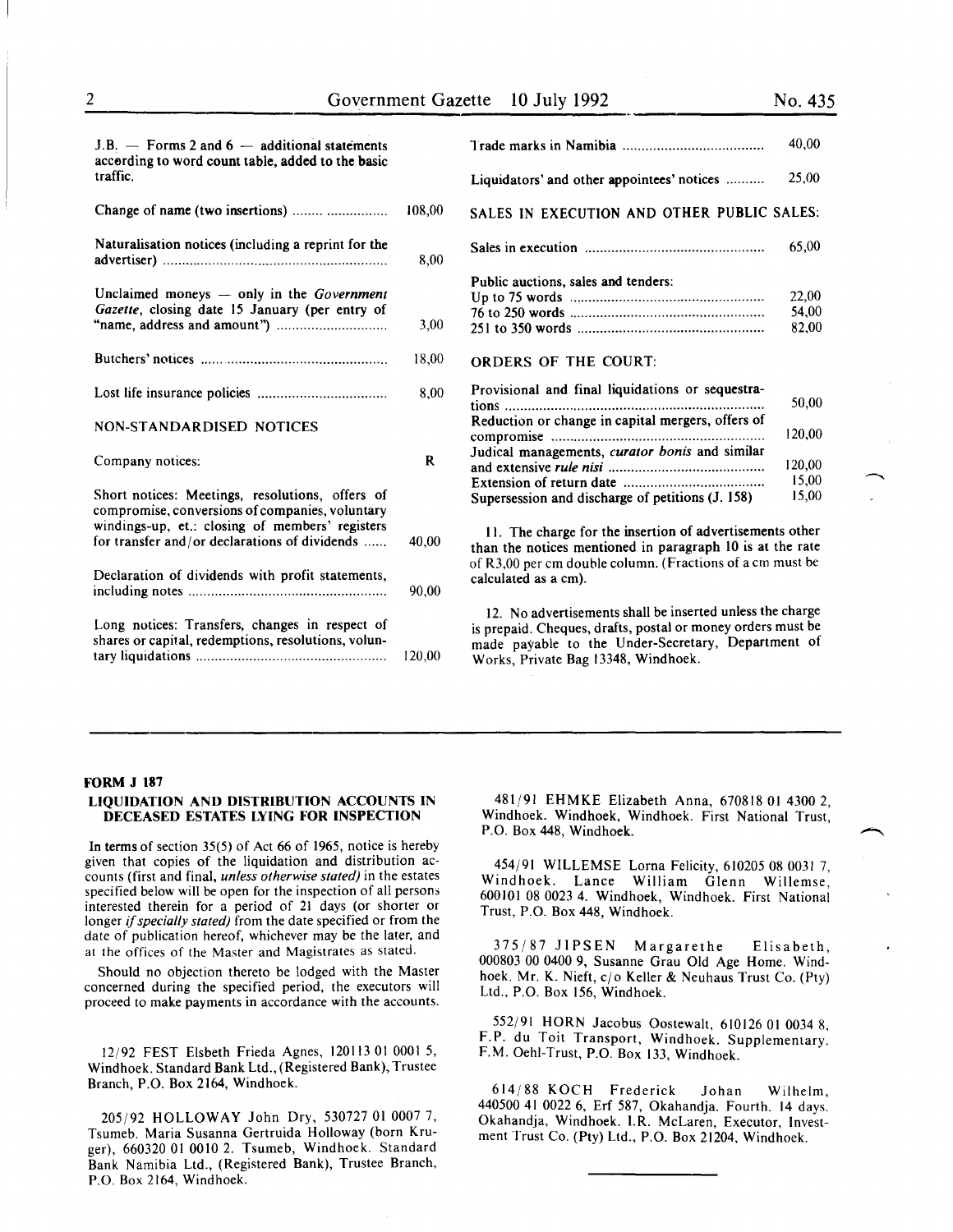| $J.B.$ - Forms 2 and $6$ - additional statements<br>according to word count table, added to the basic |        |                                                                                                                                                                                                                       | 40.00                   |
|-------------------------------------------------------------------------------------------------------|--------|-----------------------------------------------------------------------------------------------------------------------------------------------------------------------------------------------------------------------|-------------------------|
| traffic.                                                                                              |        | Liquidators' and other appointees' notices                                                                                                                                                                            | 25,00                   |
| Change of name (two insertions)                                                                       | 108,00 | SALES IN EXECUTION AND OTHER PUBLIC SALES:                                                                                                                                                                            |                         |
| Naturalisation notices (including a reprint for the                                                   | 8,00   |                                                                                                                                                                                                                       | 65,00                   |
| Unclaimed moneys $-$ only in the Government<br>Gazette, closing date 15 January (per entry of         | 3,00   | Public auctions, sales and tenders:                                                                                                                                                                                   | 22,00<br>54,00<br>82,00 |
|                                                                                                       | 18.00  | <b>ORDERS OF THE COURT:</b>                                                                                                                                                                                           |                         |
|                                                                                                       | 8,00   | Provisional and final liquidations or sequestra-                                                                                                                                                                      | 50.00                   |
| NON-STANDARDISED NOTICES                                                                              |        | Reduction or change in capital mergers, offers of                                                                                                                                                                     | 120,00                  |
| Company notices:                                                                                      | R      | Judical managements, curator bonis and similar                                                                                                                                                                        | 120,00                  |
| Short notices: Meetings, resolutions, offers of<br>compromise, conversions of companies, voluntary    |        | Supersession and discharge of petitions (J. 158)                                                                                                                                                                      | 15,00<br>15,00          |
| windings-up, et.: closing of members' registers<br>for transfer and/or declarations of dividends      | 40,00  | 11. The charge for the insertion of advertisements other<br>than the notices mentioned in paragraph 10 is at the rate                                                                                                 |                         |
| Declaration of dividends with profit statements,                                                      | 90.00  | of R3,00 per cm double column. (Fractions of a cm must be<br>calculated as a cm).                                                                                                                                     |                         |
| Long notices: Transfers, changes in respect of<br>shares or capital, redemptions, resolutions, volun- | 120,00 | 12. No advertisements shall be inserted unless the charge<br>is prepaid. Cheques, drafts, postal or money orders must be<br>made payable to the Under-Secretary, Department of<br>Works, Private Bag 13348, Windhoek. |                         |

#### FORM J 187

# LIQUIDATION AND DISTRIBUTION ACCOUNTS IN DECEASED ESTATES LYING FOR INSPECTION

In terms of section 35(5) of Act 66 of 1965, notice is hereby given that copies of the liquidation and distribution accounts (first and final, *unless otherwise stated)* in the estates specified below will be open for the inspection of all persons interested therein for a period of 21 days (or shorter or longer if *specially stated)* from the date specified or from the date of publication hereof, whichever may be the later, and at the offices of the Master and Magistrates as stated.

Should no objection thereto be lodged with the Master concerned during the specified period, the executors will proceed to make payments in accordance with the accounts.

12/92 FEST Elsbeth Frieda Agnes, 120113 01 0001 5, Windhoek. Standard Bank Ltd., (Registered Bank), Trustee Branch, P.O. Box 2164, Windhoek.

205/92 HOLLOWAY John Dry, 530727 01 0007 7, Tsumeb. Maria Susanna Gertruida Holloway (born Kruger), 660320 01 0010 2. Tsumeb, Windhoek. Standard Bank Namibia Ltd., (Registered Bank), Trustee Branch, P.O. Box 2164, Windhoek.

481/91 EHMKE Elizabeth Anna, 670818 01 4300 2, Windhoek. Windhoek, Windhoek. First National Trust, P.O. Box 448, Windhoek.

454/91 WILLEMSE Lorna Felicity, 610205 08 0031 7, Windhoek. Lance William Glenn Willemse, 600101 08 0023 4. Windhoek, Windhoek. First National Trust, P.O. Box 448, Windhoek.

375/87 JIPSEN Margarethe Elisabeth, 000803 00 0400 9, Susanne Grau Old Age Home. Windhoek. Mr. K. Nieft, c/o Keller & Neuhaus Trust Co. (Pty) Ltd., P.O. Box 156, Windhoek.

552/91 HORN Jacobus Oostewalt, 610126 01 0034 8, F. P. du Toit Transport, Windhoek. Supplementary. F.M. Oehl-Trust, P.O. Box 133, Windhoek.

614/88 KOCH Frederick Johan Wilhelm, 440500 41 0022 6, Erf 587, Okahandja. Fourth. 14 days. Okahandja, Windhoek. I.R. McLaren, Executor, Investment Trust Co. (Pty) Ltd., P.O. Box 21204, Windhoek.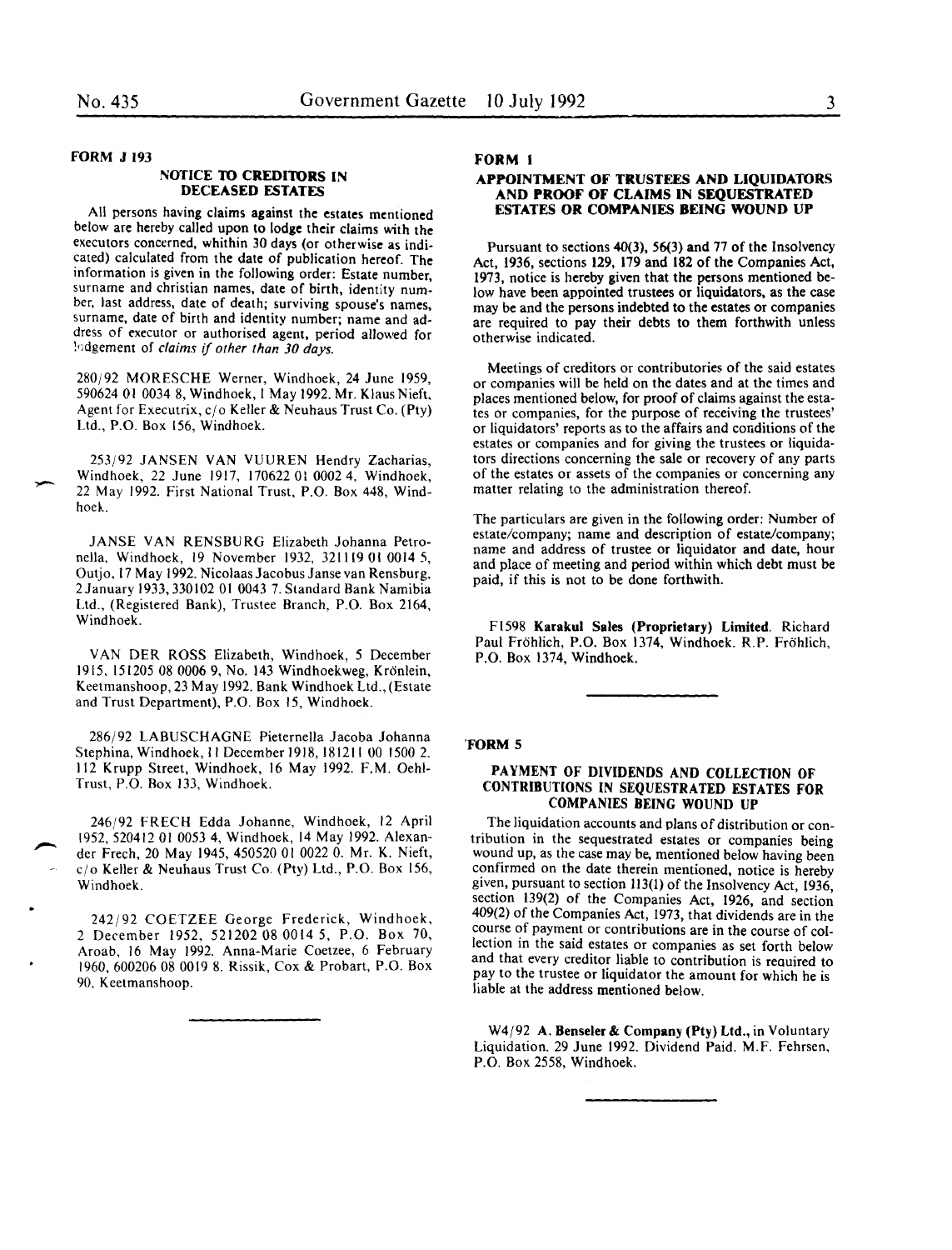# FORM J 193

#### NOTICE TO CREDITORS lN DECEASED ESTATES

All persons having claims against the estates mentioned below are hereby called upon to lodge their claims with the executors concerned, whithin 30 days (or otherwise as indicated) calculated from the date of publication hereof. The information is given in the following order: Estate number, surname and christian names, date of birth, identity number, last address, date of death; surviving spouse's names, surname, date of birth and identity number; name and address of executor or authorised agent, period allowed for !•;dgement of *claims* if *other than 30 days.* 

280/92 MORESCHE Werner, Windhoek, 24 June 1959, 590624 01 0034 8, Windhoek, 1 May 1992. Mr. Klaus Nieft, Agent for Executrix,  $c/\sigma$  Keller & Neuhaus Trust Co. (Pty) Ltd., P.O. Box 156, Windhoek.

253/92 JANSEN VAN VUUREN Hendry Zacharias, Windhoek, 22 June 1917, 170622 Ol 0002 4, Windhoek, 22 May 1992. First National Trust, P.O. Box 448, Windhoek.

JANSE VAN RENSBURG Elizabeth Johanna Petronella, Windhoek, 19 November 1932, 321119 01 0014 5, Outjo, 17 May 1992. Nicolaas Jacobus Janse van Rensburg, 2 January 1933,330102 01 0043 7. Standard Bank Namibia Ltd., (Registered Bank), Trustee Branch, P.O. Box 2164, Windhoek.

VAN DER ROSS Elizabeth, Windhoek, 5 December 1915. 151205 08 0006 9, No. 143 Windhoekweg, Kronlein, Keetmanshoop, 23 May 1992. Bank Windhoek Ltd., (Estate and Trust Department), P.O. Box 15, Windhoek.

286/92 LABUSCHAGNE Pieternella Jacoba Johanna Stephina, Windhoek, II December 1918, 181211 00 1500 2. 112 Krupp Street, Windhoek, 16 May 1992. F.M. Oehl-Trust, P.O. Box 133, Windhoek.

246/92 FRECH Edda Johanne, Windhoek, 12 April 1952, 520412 01 0053 4, Windhoek, 14 May 1992. Alexander Frech, 20 May 1945, 450520 01 0022 0. Mr. K. Nieft, cjo Keller & Neuhaus Trust Co. (Pty) Ltd., P.O. Box 156, Windhoek.

242/92 COETZEE George Frederick, Windhoek, 2 December 1952, 521202 08 0014 5, P.O. Box 70, Aroab, 16 May 1992. Anna-Marie Coetzee, 6 February 1960, 600206 08 0019 8. Rissik, Cox & Probart, P.O. Box 90, Keetmanshoop.

# FORM I

#### APPOINTMENT OF TRUSTEES AND LIQUIDATORS AND PROOF OF CLAIMS IN SEQUESTRATED ESTATES OR COMPANIES BEING WOUND UP

Pursuant to sections 40(3), 56(3) and 77 of the Insolvency Act, 1936, sections 129, 179 and 182 of the Companies Act, 1973, notice is hereby given that the persons mentioned below have been appointed trustees or liquidators, as the case may be and the persons indebted to the estates or companies are required to pay their debts to them forthwith unless otherwise indicated.

Meetings of creditors or contributories of the said estates or companies will be held on the dates and at the times and places mentioned below, for proof of claims against the estates or companies, for the purpose of receiving the trustees' or liquidators' reports as to the affairs and conditions of the estates or companies and for giving the trustees or liquidators directions concerning the sale or recovery of any parts of the estates or assets of the companies or concerning any matter relating to the administration thereof.

The particulars are given in the following order: Number of estate/company; name and description of estate/company; name and address of trustee or liquidator and date, hour and place of meeting and period within which debt must be paid, if this is not to be done forthwith.

Fl598 Karakul Sales (Proprietary) Limited. Richard Paul Frohlich, P.O. Box 1374, Windhoek. R.P. Frohlich, P.O. Box 1374, Windhoek.

#### 'FORM 5

# PAYMENT OF DIVIDENDS AND COLLECTION OF CONTRIBUTIONS IN SEQUESTRATED ESTATES FOR COMPANIES BEING WOUND UP

The liquidation accounts and plans of distribution or contribution in the sequestrated estates or companies being wound up, as the case may be, mentioned below having been confirmed on the date therein mentioned, notice is hereby given, pursuant to section 113(1) of the Insolvency Act, 1936, section 139(2) of the Companies Act, 1926, and section 409(2) of the Companies Act, 1973, that dividends are in the course of payment or contributions are in the course of collection in the said estates or companies as set forth below and that every creditor liable to contribution is reauired to pay to the trustee or liquidator the amount for which he is liable at the address mentioned below.

 $W4/92$  A. Benseler & Company (Pty) Ltd., in Voluntary Liquidation. 29 June 1992. Dividend Paid. M.F. Fehrsen, P.O. Box 2558, Windhoek.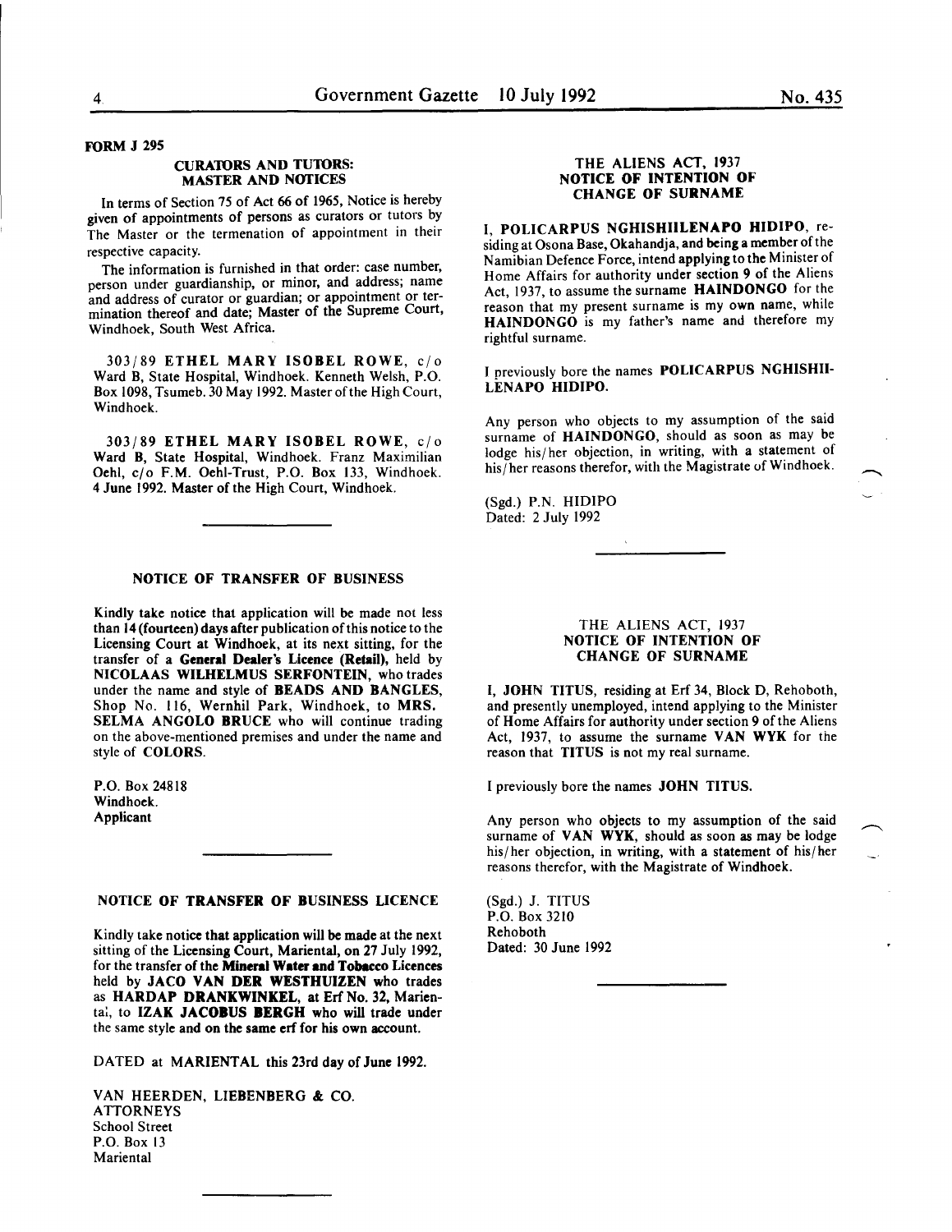# FORM J 295

#### CURA10RS AND TU10RS: MASTER AND NOTICES

In terms of Section 75 of Act 66 of 1965, Notice is hereby given of appointments of persons as curators or tutors by The Master or the termenation of appointment in their respective capacity.

The information is furnished in that order: case number, person under guardianship, or minor, and address; name and address of curator or guardian; or appointment or termination thereof and date; Master of the Supreme Court, Windhoek, South West Africa.

303/89 ETHEL MARY ISOBEL ROWE, c/o Ward B, State Hospital, Windhoek. Kenneth Welsh, P.O. Box 1098, Tsumeb. 30 May 1992. Master of the High Court, Windhoek.

303/89 ETHEL MARY ISOBEL ROWE, c/o Ward B, State Hospital, Windhoek. Franz Maximilian Oehl, c/o F.M. Oehi-Trust, P.O. Box 133, Windhoek. 4 June 1992. Master of the High Court, Windhoek.

#### NOTICE OF TRANSFER OF BUSINESS

Kindly take notice that application will be made not less than 14 (fourteen) days after publication of this notice to the Licensing Court at Windhoek, at its next sitting, for the transfer of a General Dealer's Licence (Retail), held by NICOLAAS WILHELMUS SERFONTEIN, who trades under the name and style of BEADS AND BANGLES Shop No. 116, Wernhil Park, Windhoek, to MRS. SELMA ANGOLO BRUCE who will continue trading on the above-mentioned premises and under the name and style of COLORS.

P.O. Box 24818 Windhoek. Applicant

# NOTICE OF TRANSFER OF BUSINESS LICENCE

Kindly take notice that application will be made at the next sitting of the Licensing Court, Mariental, on 27 July 1992, for the transfer of the Mineral Water and Tobacco Licences held by JACO VAN DER WESTHUIZEN who trades as HARDAP DRANKWINKEL, at Erf No. 32, Marienta:, to IZAK JACOBUS BERGH who will trade under the same style and on the same erf for his own account.

DATED at MARIENTAL this 23rd day of June 1992.

VAN HEERDEN, LIEBENBERG & CO. ATTORNEYS School Street P.O. Box 13 **Mariental** 

# THE ALIENS ACT, 1937 NOTICE OF INTENTION OF CHANGE OF SURNAME

I, POLICARPUS NGHISHIILENAPO HIDIPO, residing at Osona Base, Okahandja, and being a member of the Namibian Defence Force, intend applying to the Minister of Home Affairs for authority under section 9 of the Aliens Act, 1937, to assume the surname HAINDONGO for the reason that my present surname is my own name, while HAINDONGO is my father's name and therefore my rightful surname.

J previously bore the names POLICARPUS NGHISHII-LENAPO HIDIPO.

Any person who objects to my assumption of the said surname of HAINDONGO, should as soon as may be lodge his/her objection, in writing, with a statement of his/her reasons therefor, with the Magistrate of Windhoek.

(Sgd.) P.N. HIDIPO Dated: 2 July 1992

# THE ALIENS ACT, 1937 NOTICE OF INTENTION OF CHANGE OF SURNAME

I, JOHN TITUS, residing at Erf 34, Block D, Rehoboth, and presently unemployed, intend applying to the Minister of Home Affairs for authority under section 9 of the Aliens Act, 1937, to assume the surname VAN WYK for the reason that TITUS is not my real surname.

I previously bore the names JOHN TITUS.

Any person who objects to my assumption of the said surname of VAN WYK, should as soon as may be lodge his/her objection, in writing, with a statement of his/her reasons therefor, with the Magistrate of Windhoek.

(Sgd.) J. TITUS P.O. Box 3210 Rehoboth Dated: 30 June 1992